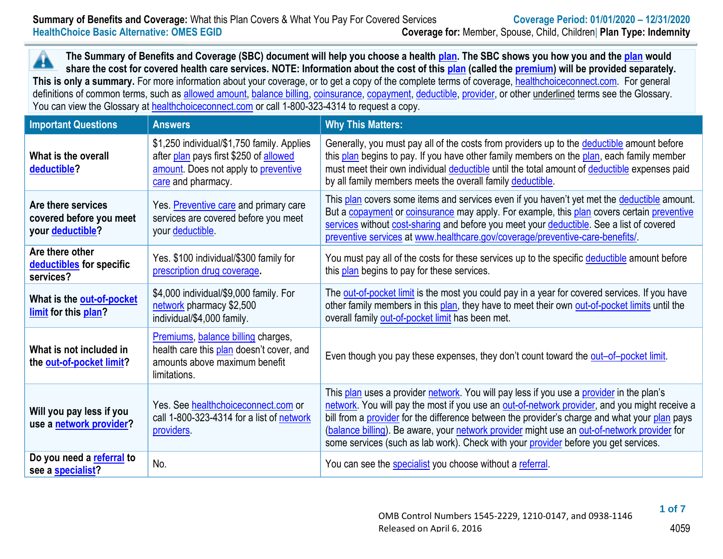**The Summary of Benefits and Coverage (SBC) document will help you choose a health [plan.](https://www.healthcare.gov/sbc-glossary/#plan) The SBC shows you how you and th[e plan](https://www.healthcare.gov/sbc-glossary/#plan) would** ▲ **share the cost for covered health care services. NOTE: Information about the cost of this [plan](https://www.healthcare.gov/sbc-glossary/#plan) (called the [premium\)](https://www.healthcare.gov/sbc-glossary/#premium) will be provided separately.** This is only a summary. For more information about your coverage, or to get a copy of the complete terms of coverage, [healthchoiceconnect.com.](http://www.healthchoiceconnect.com/) For general definitions of common terms, such as [allowed amount,](https://www.healthcare.gov/sbc-glossary/#allowed-amount) [balance billing,](https://www.healthcare.gov/sbc-glossary/#balance-billing) [coinsurance,](https://www.healthcare.gov/sbc-glossary/#coinsurance) [copayment,](https://www.healthcare.gov/sbc-glossary/#copayment) [deductible,](https://www.healthcare.gov/sbc-glossary/#deductible) [provider,](https://www.healthcare.gov/sbc-glossary/#provider) or other underlined terms see the Glossary. You can view the Glossary at [healthchoiceconnect.com](http://www.healthchoiceconnect.com/uniform-glossary-final.pdf) or call 1-800-323-4314 to request a copy.

| <b>Important Questions</b>                                        | <b>Answers</b>                                                                                                                                     | <b>Why This Matters:</b>                                                                                                                                                                                                                                                                                                                                                                                                                                                         |
|-------------------------------------------------------------------|----------------------------------------------------------------------------------------------------------------------------------------------------|----------------------------------------------------------------------------------------------------------------------------------------------------------------------------------------------------------------------------------------------------------------------------------------------------------------------------------------------------------------------------------------------------------------------------------------------------------------------------------|
| What is the overall<br>deductible?                                | \$1,250 individual/\$1,750 family. Applies<br>after plan pays first \$250 of allowed<br>amount. Does not apply to preventive<br>care and pharmacy. | Generally, you must pay all of the costs from providers up to the deductible amount before<br>this plan begins to pay. If you have other family members on the plan, each family member<br>must meet their own individual deductible until the total amount of deductible expenses paid<br>by all family members meets the overall family deductible.                                                                                                                            |
| Are there services<br>covered before you meet<br>your deductible? | Yes. Preventive care and primary care<br>services are covered before you meet<br>your deductible                                                   | This plan covers some items and services even if you haven't yet met the deductible amount.<br>But a copayment or coinsurance may apply. For example, this plan covers certain preventive<br>services without cost-sharing and before you meet your deductible. See a list of covered<br>preventive services at www.healthcare.gov/coverage/preventive-care-benefits/                                                                                                            |
| Are there other<br>deductibles for specific<br>services?          | Yes. \$100 individual/\$300 family for<br>prescription drug coverage.                                                                              | You must pay all of the costs for these services up to the specific deductible amount before<br>this plan begins to pay for these services.                                                                                                                                                                                                                                                                                                                                      |
| What is the out-of-pocket<br>limit for this plan?                 | \$4,000 individual/\$9,000 family. For<br>network pharmacy \$2,500<br>individual/\$4,000 family.                                                   | The out-of-pocket limit is the most you could pay in a year for covered services. If you have<br>other family members in this plan, they have to meet their own out-of-pocket limits until the<br>overall family out-of-pocket limit has been met.                                                                                                                                                                                                                               |
| What is not included in<br>the out-of-pocket limit?               | Premiums, balance billing charges,<br>health care this plan doesn't cover, and<br>amounts above maximum benefit<br>limitations.                    | Even though you pay these expenses, they don't count toward the out-of-pocket limit.                                                                                                                                                                                                                                                                                                                                                                                             |
| Will you pay less if you<br>use a network provider?               | Yes. See healthchoiceconnect.com or<br>call 1-800-323-4314 for a list of network<br>providers.                                                     | This plan uses a provider network. You will pay less if you use a provider in the plan's<br>network. You will pay the most if you use an out-of-network provider, and you might receive a<br>bill from a provider for the difference between the provider's charge and what your plan pays<br>(balance billing). Be aware, your network provider might use an out-of-network provider for<br>some services (such as lab work). Check with your provider before you get services. |
| Do you need a referral to<br>see a specialist?                    | No.                                                                                                                                                | You can see the specialist you choose without a referral.                                                                                                                                                                                                                                                                                                                                                                                                                        |

 **1 of 7**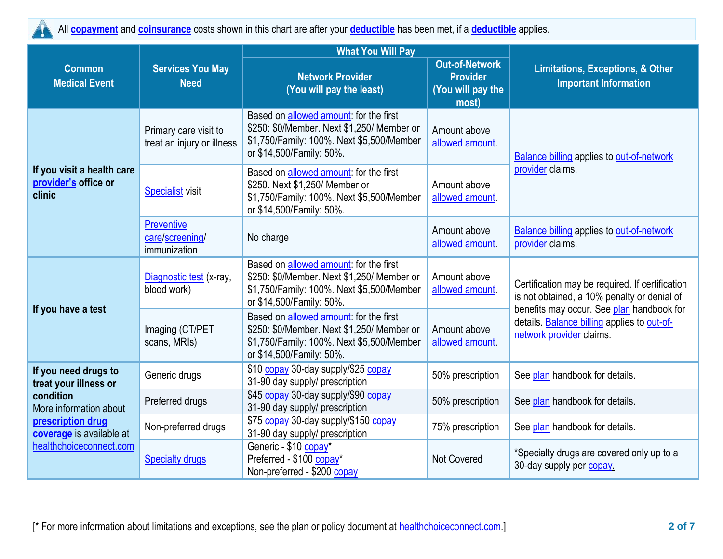All **[copayment](https://www.healthcare.gov/sbc-glossary/#copayment)** and **[coinsurance](https://www.healthcare.gov/sbc-glossary/#coinsurance)** costs shown in this chart are after your **[deductible](https://www.healthcare.gov/sbc-glossary/#deductible)** has been met, if a **[deductible](https://www.healthcare.gov/sbc-glossary/#deductible)** applies. Y

|                                                                                      |                                                      | <b>What You Will Pay</b>                                                                                                                                                                         |                                                                        |                                                                                                                      |  |
|--------------------------------------------------------------------------------------|------------------------------------------------------|--------------------------------------------------------------------------------------------------------------------------------------------------------------------------------------------------|------------------------------------------------------------------------|----------------------------------------------------------------------------------------------------------------------|--|
| <b>Common</b><br><b>Medical Event</b>                                                | <b>Services You May</b><br><b>Need</b>               | <b>Network Provider</b><br>(You will pay the least)                                                                                                                                              | <b>Out-of-Network</b><br><b>Provider</b><br>(You will pay the<br>most) | <b>Limitations, Exceptions, &amp; Other</b><br><b>Important Information</b>                                          |  |
|                                                                                      | Primary care visit to<br>treat an injury or illness  | Based on allowed amount: for the first<br>\$250: \$0/Member. Next \$1,250/ Member or<br>Amount above<br>\$1,750/Family: 100%. Next \$5,500/Member<br>allowed amount<br>or \$14,500/Family: 50%.  |                                                                        | <b>Balance billing applies to out-of-network</b>                                                                     |  |
| If you visit a health care<br>provider's office or<br>clinic                         | <b>Specialist visit</b>                              | Based on allowed amount: for the first<br>\$250. Next \$1,250/ Member or<br>\$1,750/Family: 100%. Next \$5,500/Member<br>or \$14,500/Family: 50%.                                                | Amount above<br>allowed amount.                                        | provider claims.                                                                                                     |  |
|                                                                                      | <b>Preventive</b><br>care/screening/<br>immunization | No charge                                                                                                                                                                                        | Amount above<br>allowed amount.                                        | <b>Balance billing applies to out-of-network</b><br>provider claims.                                                 |  |
|                                                                                      | Diagnostic test (x-ray,<br>blood work)               | Based on allowed amount: for the first<br>\$250: \$0/Member. Next \$1,250/ Member or<br>Amount above<br>\$1,750/Family: 100%. Next \$5,500/Member<br>allowed amount.<br>or \$14,500/Family: 50%. |                                                                        | Certification may be required. If certification<br>is not obtained, a 10% penalty or denial of                       |  |
| If you have a test                                                                   | Imaging (CT/PET<br>scans, MRIs)                      | Based on allowed amount: for the first<br>\$250: \$0/Member. Next \$1,250/ Member or<br>\$1,750/Family: 100%. Next \$5,500/Member<br>or \$14,500/Family: 50%.                                    | Amount above<br>allowed amount.                                        | benefits may occur. See plan handbook for<br>details. Balance billing applies to out-of-<br>network provider claims. |  |
| If you need drugs to<br>treat your illness or                                        | Generic drugs                                        | \$10 copay 30-day supply/\$25 copay<br>31-90 day supply/ prescription                                                                                                                            | 50% prescription                                                       | See plan handbook for details.                                                                                       |  |
| condition<br>More information about<br>prescription drug<br>coverage is available at | Preferred drugs                                      | \$45 copay 30-day supply/\$90 copay<br>50% prescription<br>31-90 day supply/ prescription                                                                                                        |                                                                        | See plan handbook for details.                                                                                       |  |
|                                                                                      | Non-preferred drugs                                  | \$75 copay 30-day supply/\$150 copay<br>31-90 day supply/ prescription                                                                                                                           | 75% prescription                                                       | See plan handbook for details.                                                                                       |  |
| healthchoiceconnect.com                                                              | <b>Specialty drugs</b>                               | Generic - \$10 copay*<br>Preferred - \$100 copay*<br>Non-preferred - \$200 copay                                                                                                                 | <b>Not Covered</b>                                                     | *Specialty drugs are covered only up to a<br>30-day supply per copay.                                                |  |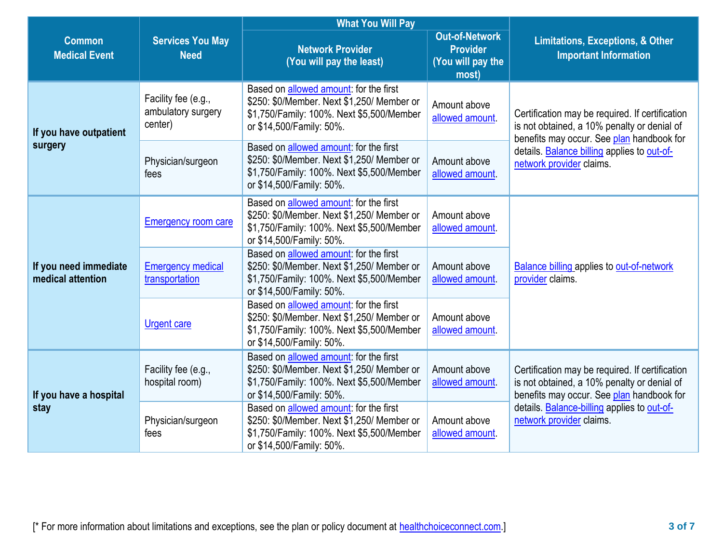|                                                                                 |                                                      | <b>What You Will Pay</b>                                                                                                                                                                         |                                                                        |                                                                                                                                             |  |
|---------------------------------------------------------------------------------|------------------------------------------------------|--------------------------------------------------------------------------------------------------------------------------------------------------------------------------------------------------|------------------------------------------------------------------------|---------------------------------------------------------------------------------------------------------------------------------------------|--|
| <b>Services You May</b><br><b>Common</b><br><b>Medical Event</b><br><b>Need</b> |                                                      | <b>Network Provider</b><br>(You will pay the least)                                                                                                                                              | <b>Out-of-Network</b><br><b>Provider</b><br>(You will pay the<br>most) | <b>Limitations, Exceptions, &amp; Other</b><br><b>Important Information</b>                                                                 |  |
| If you have outpatient                                                          | Facility fee (e.g.,<br>ambulatory surgery<br>center) | Based on allowed amount: for the first<br>\$250: \$0/Member. Next \$1,250/ Member or<br>\$1,750/Family: 100%. Next \$5,500/Member<br>or \$14,500/Family: 50%.                                    | Amount above<br>allowed amount.                                        | Certification may be required. If certification<br>is not obtained, a 10% penalty or denial of                                              |  |
| surgery                                                                         | Physician/surgeon<br>fees                            | Based on allowed amount: for the first<br>\$250: \$0/Member. Next \$1,250/ Member or<br>\$1,750/Family: 100%. Next \$5,500/Member<br>or \$14,500/Family: 50%.                                    | Amount above<br>allowed amount                                         | benefits may occur. See plan handbook for<br>details. Balance billing applies to out-of-<br>network provider claims.                        |  |
| If you need immediate<br>medical attention                                      | <b>Emergency room care</b>                           | Based on allowed amount: for the first<br>\$250: \$0/Member. Next \$1,250/ Member or<br>Amount above<br>\$1,750/Family: 100%. Next \$5,500/Member<br>allowed amount.<br>or \$14,500/Family: 50%. |                                                                        |                                                                                                                                             |  |
|                                                                                 | <b>Emergency medical</b><br>transportation           | Based on allowed amount: for the first<br>\$250: \$0/Member. Next \$1,250/ Member or<br>\$1,750/Family: 100%. Next \$5,500/Member<br>or \$14,500/Family: 50%.                                    | Amount above<br>allowed amount.                                        | <b>Balance billing applies to out-of-network</b><br>provider claims.                                                                        |  |
|                                                                                 | <b>Urgent care</b>                                   | Based on allowed amount: for the first<br>\$250: \$0/Member. Next \$1,250/ Member or<br>\$1,750/Family: 100%. Next \$5,500/Member<br>or \$14,500/Family: 50%.                                    | Amount above<br>allowed amount.                                        |                                                                                                                                             |  |
| If you have a hospital                                                          | Facility fee (e.g.,<br>hospital room)                | Based on allowed amount: for the first<br>\$250: \$0/Member. Next \$1,250/ Member or<br>Amount above<br>\$1,750/Family: 100%. Next \$5,500/Member<br>allowed amount.<br>or \$14,500/Family: 50%. |                                                                        | Certification may be required. If certification<br>is not obtained, a 10% penalty or denial of<br>benefits may occur. See plan handbook for |  |
| stay                                                                            | Physician/surgeon<br>fees                            | Based on allowed amount: for the first<br>\$250: \$0/Member. Next \$1,250/ Member or<br>\$1,750/Family: 100%. Next \$5,500/Member<br>or \$14,500/Family: 50%.                                    | Amount above<br>allowed amount.                                        | details. Balance-billing applies to out-of-<br>network provider claims.                                                                     |  |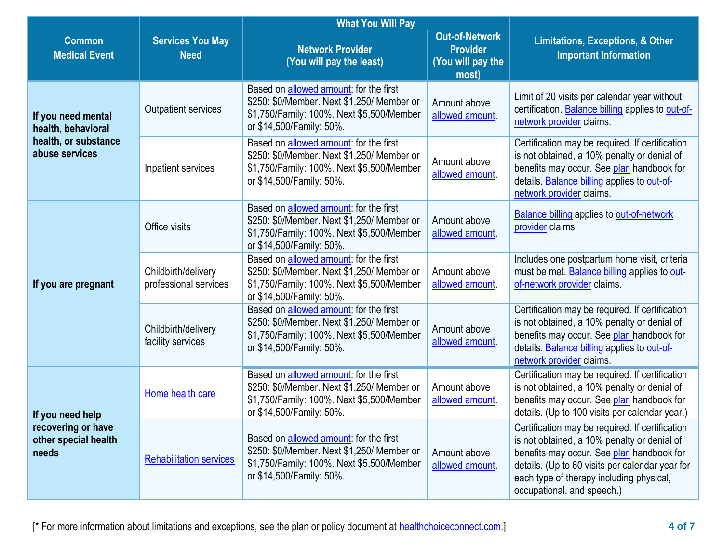|                                                                         |                                              | <b>What You Will Pay</b>                                                                                                                                              |                                 |                                                                                                                                                                                                                                                                          |
|-------------------------------------------------------------------------|----------------------------------------------|-----------------------------------------------------------------------------------------------------------------------------------------------------------------------|---------------------------------|--------------------------------------------------------------------------------------------------------------------------------------------------------------------------------------------------------------------------------------------------------------------------|
| <b>Common</b><br><b>Medical Event</b>                                   | <b>Services You May</b><br><b>Need</b>       | <b>Out-of-Network</b><br><b>Network Provider</b><br><b>Provider</b><br>(You will pay the least)<br>(You will pay the<br>most)                                         |                                 | <b>Limitations, Exceptions, &amp; Other</b><br><b>Important Information</b>                                                                                                                                                                                              |
| If you need mental<br>health, behavioral                                | <b>Outpatient services</b>                   | Based on <b>allowed</b> amount: for the first<br>\$250: \$0/Member. Next \$1,250/ Member or<br>\$1,750/Family: 100%. Next \$5,500/Member<br>or \$14,500/Family: 50%.  | Amount above<br>allowed amount. | Limit of 20 visits per calendar year without<br>certification. Balance billing applies to out-of-<br>network provider claims.                                                                                                                                            |
| health, or substance<br>abuse services                                  | Inpatient services                           | Based on <b>allowed</b> amount: for the first<br>\$250: \$0/Member. Next \$1,250/ Member or<br>\$1,750/Family: 100%. Next \$5,500/Member<br>or \$14,500/Family: 50%.  | Amount above<br>allowed amount. | Certification may be required. If certification<br>is not obtained, a 10% penalty or denial of<br>benefits may occur. See plan handbook for<br>details. Balance billing applies to out-of-<br>network provider claims.                                                   |
|                                                                         | Office visits                                | Based on allowed amount: for the first<br>\$250: \$0/Member. Next \$1,250/ Member or<br>\$1,750/Family: 100%. Next \$5,500/Member<br>or \$14,500/Family: 50%.         | Amount above<br>allowed amount. | <b>Balance billing applies to out-of-network</b><br>provider claims.                                                                                                                                                                                                     |
| If you are pregnant                                                     | Childbirth/delivery<br>professional services | Based on allowed amount: for the first<br>\$250: \$0/Member. Next \$1,250/ Member or<br>\$1,750/Family: 100%. Next \$5,500/Member<br>or \$14,500/Family: 50%.         | Amount above<br>allowed amount. | Includes one postpartum home visit, criteria<br>must be met. Balance billing applies to out-<br>of-network provider claims.                                                                                                                                              |
|                                                                         | Childbirth/delivery<br>facility services     | Based on <b>allowed amount</b> : for the first<br>\$250: \$0/Member. Next \$1,250/ Member or<br>\$1,750/Family: 100%. Next \$5,500/Member<br>or \$14,500/Family: 50%. | Amount above<br>allowed amount. | Certification may be required. If certification<br>is not obtained, a 10% penalty or denial of<br>benefits may occur. See plan handbook for<br>details. Balance billing applies to out-of-<br>network provider claims.                                                   |
| If you need help<br>recovering or have<br>other special health<br>needs | Home health care                             | Based on allowed amount: for the first<br>\$250: \$0/Member. Next \$1,250/ Member or<br>\$1,750/Family: 100%. Next \$5,500/Member<br>or \$14,500/Family: 50%.         | Amount above<br>allowed amount. | Certification may be required. If certification<br>is not obtained, a 10% penalty or denial of<br>benefits may occur. See plan handbook for<br>details. (Up to 100 visits per calendar year.)                                                                            |
|                                                                         | <b>Rehabilitation services</b>               | Based on allowed amount: for the first<br>\$250: \$0/Member. Next \$1,250/ Member or<br>\$1,750/Family: 100%. Next \$5,500/Member<br>or \$14,500/Family: 50%.         | Amount above<br>allowed amount. | Certification may be required. If certification<br>is not obtained, a 10% penalty or denial of<br>benefits may occur. See plan handbook for<br>details. (Up to 60 visits per calendar year for<br>each type of therapy including physical,<br>occupational, and speech.) |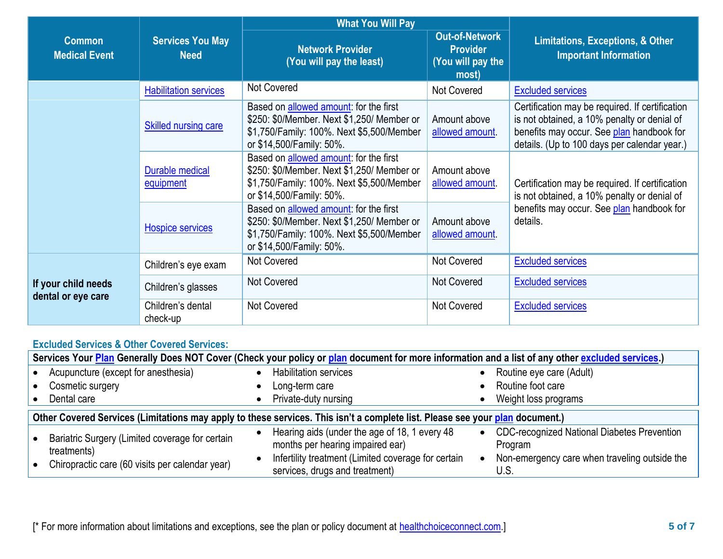|                                           |                                        | <b>What You Will Pay</b>                                                                                                                                      |                                                                        |                                                                                                                                                                                             |  |
|-------------------------------------------|----------------------------------------|---------------------------------------------------------------------------------------------------------------------------------------------------------------|------------------------------------------------------------------------|---------------------------------------------------------------------------------------------------------------------------------------------------------------------------------------------|--|
| <b>Common</b><br><b>Medical Event</b>     | <b>Services You May</b><br><b>Need</b> | <b>Network Provider</b><br>(You will pay the least)                                                                                                           | <b>Out-of-Network</b><br><b>Provider</b><br>(You will pay the<br>most) | <b>Limitations, Exceptions, &amp; Other</b><br><b>Important Information</b>                                                                                                                 |  |
|                                           | <b>Habilitation services</b>           | <b>Not Covered</b>                                                                                                                                            | Not Covered                                                            | <b>Excluded services</b>                                                                                                                                                                    |  |
|                                           | <b>Skilled nursing care</b>            | Based on allowed amount: for the first<br>\$250: \$0/Member. Next \$1,250/ Member or<br>\$1,750/Family: 100%. Next \$5,500/Member<br>or \$14,500/Family: 50%. | Amount above<br>allowed amount                                         | Certification may be required. If certification<br>is not obtained, a 10% penalty or denial of<br>benefits may occur. See plan handbook for<br>details. (Up to 100 days per calendar year.) |  |
|                                           | Durable medical<br>equipment           | Based on allowed amount: for the first<br>\$250: \$0/Member. Next \$1,250/ Member or<br>\$1,750/Family: 100%. Next \$5,500/Member<br>or \$14,500/Family: 50%. | Amount above<br>allowed amount.                                        | Certification may be required. If certification<br>is not obtained, a 10% penalty or denial of                                                                                              |  |
|                                           | <b>Hospice services</b>                | Based on allowed amount: for the first<br>\$250: \$0/Member. Next \$1,250/ Member or<br>\$1,750/Family: 100%. Next \$5,500/Member<br>or \$14,500/Family: 50%. | Amount above<br>allowed amount                                         | benefits may occur. See plan handbook for<br>details.                                                                                                                                       |  |
|                                           | Children's eye exam                    | Not Covered                                                                                                                                                   | Not Covered                                                            | <b>Excluded services</b>                                                                                                                                                                    |  |
| If your child needs<br>dental or eye care | Children's glasses                     | <b>Not Covered</b>                                                                                                                                            | <b>Not Covered</b>                                                     | <b>Excluded services</b>                                                                                                                                                                    |  |
|                                           | Children's dental<br>check-up          | <b>Not Covered</b>                                                                                                                                            | <b>Not Covered</b>                                                     | <b>Excluded services</b>                                                                                                                                                                    |  |

## **Excluded Services & Other Covered Services:**

| Services Your Plan Generally Does NOT Cover (Check your policy or plan document for more information and a list of any other excluded services.) |  |                                                                                       |           |                                                          |  |
|--------------------------------------------------------------------------------------------------------------------------------------------------|--|---------------------------------------------------------------------------------------|-----------|----------------------------------------------------------|--|
| Acupuncture (except for anesthesia)                                                                                                              |  | <b>Habilitation services</b>                                                          |           | Routine eye care (Adult)                                 |  |
| Cosmetic surgery                                                                                                                                 |  | Long-term care                                                                        |           | Routine foot care                                        |  |
| Dental care                                                                                                                                      |  | Private-duty nursing                                                                  |           | Weight loss programs                                     |  |
| Other Covered Services (Limitations may apply to these services. This isn't a complete list. Please see your plan document.)                     |  |                                                                                       |           |                                                          |  |
| Bariatric Surgery (Limited coverage for certain                                                                                                  |  | Hearing aids (under the age of 18, 1 every 48<br>months per hearing impaired ear)     |           | • CDC-recognized National Diabetes Prevention<br>Program |  |
| treatments)<br>Chiropractic care (60 visits per calendar year)                                                                                   |  | Infertility treatment (Limited coverage for certain<br>services, drugs and treatment) | $\bullet$ | Non-emergency care when traveling outside the<br>U.S.    |  |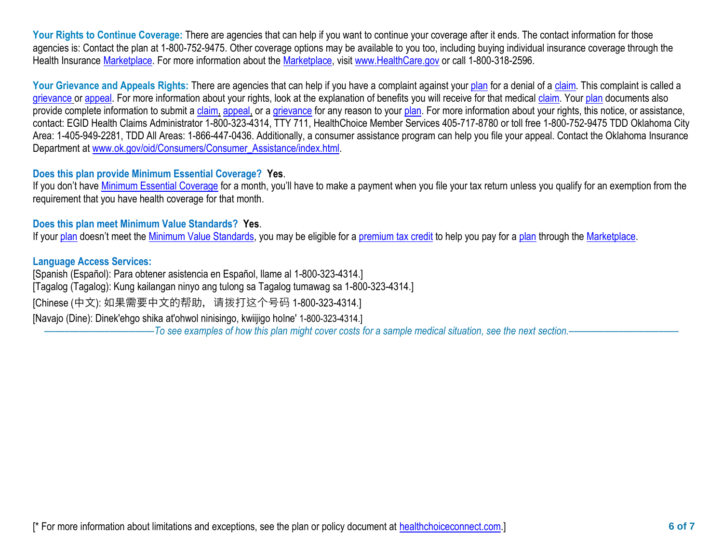Your Rights to Continue Coverage: There are agencies that can help if you want to continue your coverage after it ends. The contact information for those agencies is: Contact the plan at 1-800-752-9475. Other coverage options may be available to you too, including buying individual insurance coverage through the Health Insurance [Marketplace.](https://www.healthcare.gov/sbc-glossary/#marketplace) For more information about the [Marketplace,](https://www.healthcare.gov/sbc-glossary/#marketplace) visit [www.HealthCare.gov](http://www.healthcare.gov/) or call 1-800-318-2596.

Your Grievance and Appeals Rights: There are agencies that can help if you have a complaint against you[r plan](https://www.healthcare.gov/sbc-glossary/#plan) for a denial of a [claim.](https://www.healthcare.gov/sbc-glossary/#claim) This complaint is called a [grievance](https://www.healthcare.gov/sbc-glossary/#grievance) or [appeal.](https://www.healthcare.gov/sbc-glossary/#appeal) For more information about your rights, look at the explanation of benefits you will receive for that medical [claim.](https://www.healthcare.gov/sbc-glossary/#claim) Your [plan](https://www.healthcare.gov/sbc-glossary/#plan) documents also provide complete information to submit a [claim,](https://www.healthcare.gov/sbc-glossary/#claim) [appeal,](https://www.healthcare.gov/sbc-glossary/#appeal) or a [grievance](https://www.healthcare.gov/sbc-glossary/#grievance) for any reason to your [plan.](https://www.healthcare.gov/sbc-glossary/#plan) For more information about your rights, this notice, or assistance, contact: EGID Health Claims Administrator 1-800-323-4314, TTY 711, HealthChoice Member Services 405-717-8780 or toll free 1-800-752-9475 TDD Oklahoma City Area: 1-405-949-2281, TDD All Areas: 1-866-447-0436. Additionally, a consumer assistance program can help you file your appeal. Contact the Oklahoma Insurance Department at [www.ok.gov/oid/Consumers/Consumer\\_Assistance/index.html.](http://www.ok.gov/oid/Consumers/Consumer_Assistance/index.html)

## **Does this plan provide Minimum Essential Coverage? Yes**.

If you don't have [Minimum Essential Coverage](https://www.healthcare.gov/sbc-glossary/#minimum-essential-coverage) for a month, you'll have to make a payment when you file your tax return unless you qualify for an exemption from the requirement that you have health coverage for that month.

## **Does this plan meet Minimum Value Standards? Yes**.

If your [plan](https://www.healthcare.gov/sbc-glossary/#plan) doesn't meet the [Minimum Value Standards,](https://www.healthcare.gov/sbc-glossary/#minimum-value-standard) you may be eligible for a [premium tax credit](https://www.healthcare.gov/sbc-glossary/#premium-tax-credits) to help you pay for a plan through the [Marketplace.](https://www.healthcare.gov/sbc-glossary/#marketplace)

## **Language Access Services:**

[Spanish (Español): Para obtener asistencia en Español, llame al 1-800-323-4314.] [Tagalog (Tagalog): Kung kailangan ninyo ang tulong sa Tagalog tumawag sa 1-800-323-4314.] [Chinese (中文): 如果需要中文的帮助, 请拨打这个号码 1-800-323-4314.] [Navajo (Dine): Dinek'ehgo shika at'ohwol ninisingo, kwiijigo holne' 1-800-323-4314.]

––––––––––––––––––––––*To see examples of how this plan might cover costs for a sample medical situation, see the next section.–––––––––––*–––––––––––